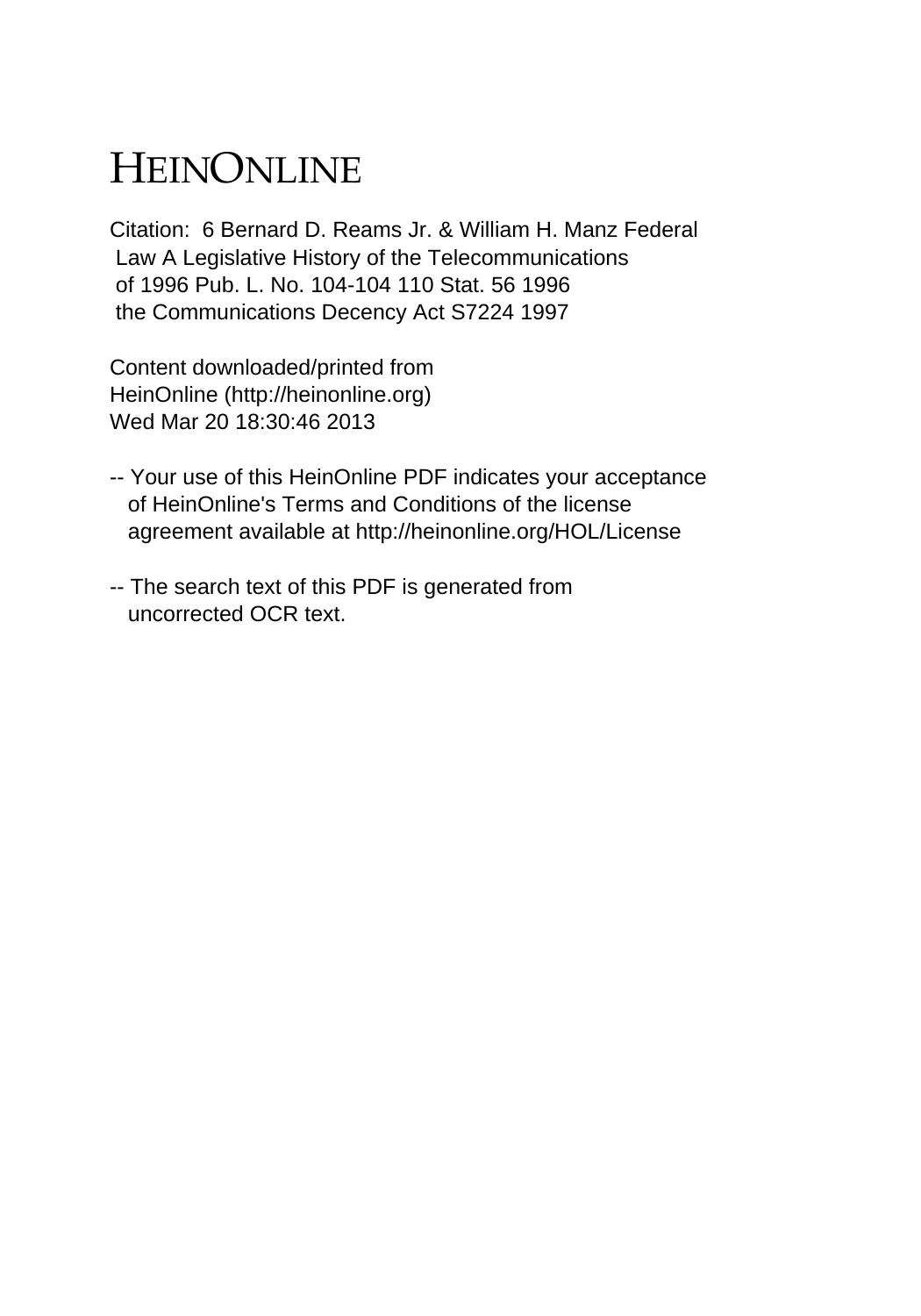# HEINONLINE

Citation: 6 Bernard D. Reams Jr. & William H. Manz Federal Law A Legislative History of the Telecommunications of 1996 Pub. L. No. 104-104 110 Stat. 56 1996 the Communications Decency Act S7224 1997

Content downloaded/printed from HeinOnline (http://heinonline.org) Wed Mar 20 18:30:46 2013

- -- Your use of this HeinOnline PDF indicates your acceptance of HeinOnline's Terms and Conditions of the license agreement available at http://heinonline.org/HOL/License
- -- The search text of this PDF is generated from uncorrected OCR text.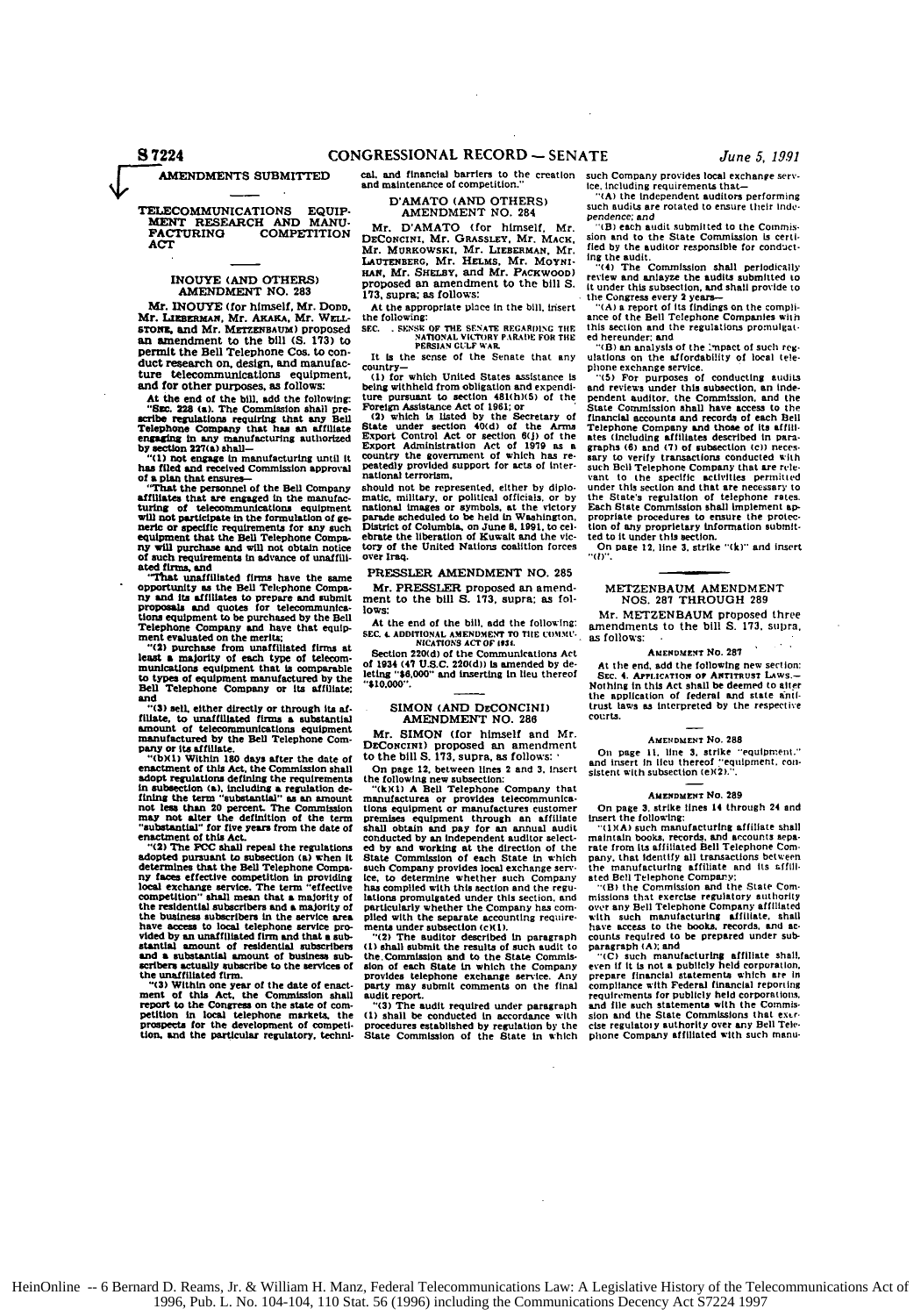## **-- AMENDMENTS** SUBMITTED

**TELECOMMUNICATIONS EQUIP-<br><b>MENT RESEARCH AND MANU-**<br>**FACTURING COMPETITION** 

## **INOUYE (AND** OTHERS) **AMENDMENT NO. 283**

Mr. **INOUYE** (for himself. Mr. **DoDo. Mr. LizacaMsA, Mr. AxAKA,** Mr. WELL-**stoa.** and **Mr. MsTZEBAaUM) proposed an** amendment to the bill **(S. 173)** to permit the Bell Telephone Cos. to con-<br>duct research on, design, and manufac-<br>ture telecommunications equipment, and for other purposes, as follows:

At the end of the bill, add the following:<br>"SEC. 228 (a). The Commission shall pre-<br>scribe regulations requiring that any Bell<br>Telephone Company that has an affiliate<br>engaging in any manufacturing authorized<br>by section 227

"(1) not engage in manufacturing until it has filled and received Commission approval<br>of a plan that ensures—<br>"That the personnel of the Bell Company<br>affiliates that are engaged in the manufac-<br>turing of elecommunications

"That unaffiliated firms have the same<br>opportunity as the Bell Telephone Compa-<br>ny and its affiliates to prepare and submit<br>proposals and quotes for telecommunica-<br>tions equipment to be purchased by the Bell<br>tions equipmen

**"(2) purchase** from **unaffiliated firms** at least **a** majority of each type of **telecom.** munolcations equipment that **is** comparable **to types of** equipment manufactured **by** the Bell Telephone Company or its affiliate

and<br>  $(3)$  and  $(4)$ <br>  $(1)$  and  $(2)$ <br>  $(1)$  and  $(2)$ <br>  $(3)$  and  $(4)$ <br>  $(5)$ <br>  $(6)$ <br>  $(7)$  and  $(8)$ <br>  $(8)$  and  $(9)$ <br>  $(1)$  and  $(1)$ <br>  $(1)$  and  $(1)$ <br>  $(2)$  and  $(3)$ <br>  $(4)$ <br>  $(5)$   $(1)$ <br>  $(1)$ <br>  $(1)$ <br>  $(1)$ <br>  $(1)$ <br>

adopted pursuant to subsection (a) when it<br>determines that the Bell Telephone Compa<br>ny faces effective competition in providing<br>local exchange service. The term "effective competition" shall mean that a majority of<br>the res

report to the Congress on the state of com-petition in local telephone markets, the prospects for the development of competi. tion. and the particular regulatory. techni.

### NGRESSIONAL RECORD **- SENATE**

cal. and financial barriers to the creation and maintenance of competition."

## **D'AMATO (AND** OTHERS) **AMENDMENT NO.** 284

Mr. **D'AMATO** (for himself, Mr. **DECONCINI,** Mr. GRASsLEY. Mr. **MACK,** Mr. MURKOWSKI. Mr. LIEBEMAN, Mr. **LAUTENBERG,** Mr. HELMs, Mr. MoyNi-**HAli,** Mr. **SHELBY,** and Mr. PaCKWOOD) proposed an amendment to the bill S. **173,** supra; as follows:

At the appropriate place in the bill, insert<br>the following:<br>sec senses of the SENATE BEGARDING THE

**SEC. . SENSE OF THE SENATE REG.ARDiNG Tile NATIONAL VIC)RY PARADE FOR Tile PERSIAN** CULF **WAR.**

It is the sense of the Senate that any country-

country—<br>
(1) for which United States assistance is<br>
(1) for which to be being withheld from obligation and expendi-<br>
ture pursuant to section 481(h)(5) of the<br>
Foreign Assistance Act of 1961; or<br>
(2) which is listed by th

Foreign Assistance Act of 1961; or<br>
excellent Secretary of State under section 40(d) of the Arms<br>
State under section 40(d) of the Arms<br>
Export Control Act or section 6(j) of the Export Administration Act of 1979 as<br>
a cou

mation images or symbols, at the victory<br>parade scheduled to be held in Washington,<br>District of Columbia, on June 8, 1991, to cel-<br>ebrate the liberation of Kuwait and the victory of the United Nations coalition forces<br>over

PRESSLER **AMENDMENT NO. 285** Mr. PRESSLER proposed an amend- ment to the bill **S. 173,** supra: **as** fol**lows:**

At the end of the bill. add the following: SEC. **4. ADDITIONAL AMENDMENT TO THE COMMUTTION ACT OF <b>1934**.

Section 220(d) of the Communications Act of 1934 **(47 U.S.C. 220(d)** is amended by de-<br>leting "\$6,000" and inserting in lieu thereof "\$10.000".

## SIMON **(AND** DECONCINI) **AMENDMENT NO. 286**<br>Mr. SIMON (for himself and Mr.

Mr. SIMON (for himself and Mr. DECONCINI) proposed an amendment to the bill S. 173, supra. as follows: **I** 

On page 12, between lines 2 and 3, insert the following new subsection. "<br>CRIM the following measurement of provides relations equipment or manufactures customer through a sequipment through an affiliate shall obtain and

"(3) The audit required under paragraph (1) shall be conducted in accordance with<br>procedures established by regulation by the<br>State Commission of the State in which

such Company provides local exchange serv-Ice, including requirements that-

'(A) the independent auditors performing such audits are rotated to ensure their Inde. pendence; and

**"IB)** each audit submitted to the Commis. sion and to the State Commission is certi-fied **by** the auditor responsible for conduct-

ing the **audit.** "(4) **The** Commisslon shall periodically review and anlayze the audits submitted to it under this subsection, and shall provide to

the Congress every 2 **years- '(A)** a report **of Its** findings on the compli-ance of the Bell Telephone Companies **with**

this section and the regulations promulgat. ed hereunder **and "(B) an** analysis of the :'npsct **of** such reg. ulations on the affordabiily of local **tele-**

plone exchange service.<br>
The consider service of conducting audits<br>
and reviews under this subsection, an inde-<br>
pendent auditor, the Commission and the section of the<br>
financelal eccounts and records of each Beil<br>
finance tion of any proprietary information submit-**ted** to it under this section. On page 12. line **3.** strike **"kl"** and insert

### METZENBAUM **AMENDMENT NOS. 287** THROUGH 289

Mr. METZENBAUM proposed three amendments to the bill S. 173. supra. as follows:

**AMENDMENT** No. **281**

At the end, **add** the following new section: SEC. 4. **APPLICATION OF ANTITRUST LAWS.**<br>Nothing in this Act shall be deemed to alter<br>the application of federal and state antitrust laws as interpreted by the respective courts.

### **AMENDMENT** No. **288**

Ol **page 11.** line **3.** strike "equipment."<br>and insert in lieu thereof "equipment, con-<br>sistent with subsection (e)(2).".

### **AMzNDMENT No. 289**

On page 3, strike lines 14 through 24 and<br>theset the following:<br>"(1) Ab such manufacturing affiliate shall<br>maintain books, records, and accounts sepa-<br>rate from its affiliated Bell Telephone Com-<br>pany, that identify all tr

the manufacturing affiliate and its affili-<br>tree Bell Telephone Company:<br>"(B) the Commission and the State Com-<br>"(S) the Commission and the State Com-<br>over any Bell Telephone Company atfiliated<br>with such manufacturing affi

paragraph (A); and<br>
"CO such manufacturing affiliate shall,<br>
"CO such manufacturing affiliate shall,<br>
perpare financial statements which are in<br>
compliance with Federal financial reporting<br>
requirements for publicly held c rise regulatol **y** authority over **any** Bell Telc. phone Company affiliated with such manu-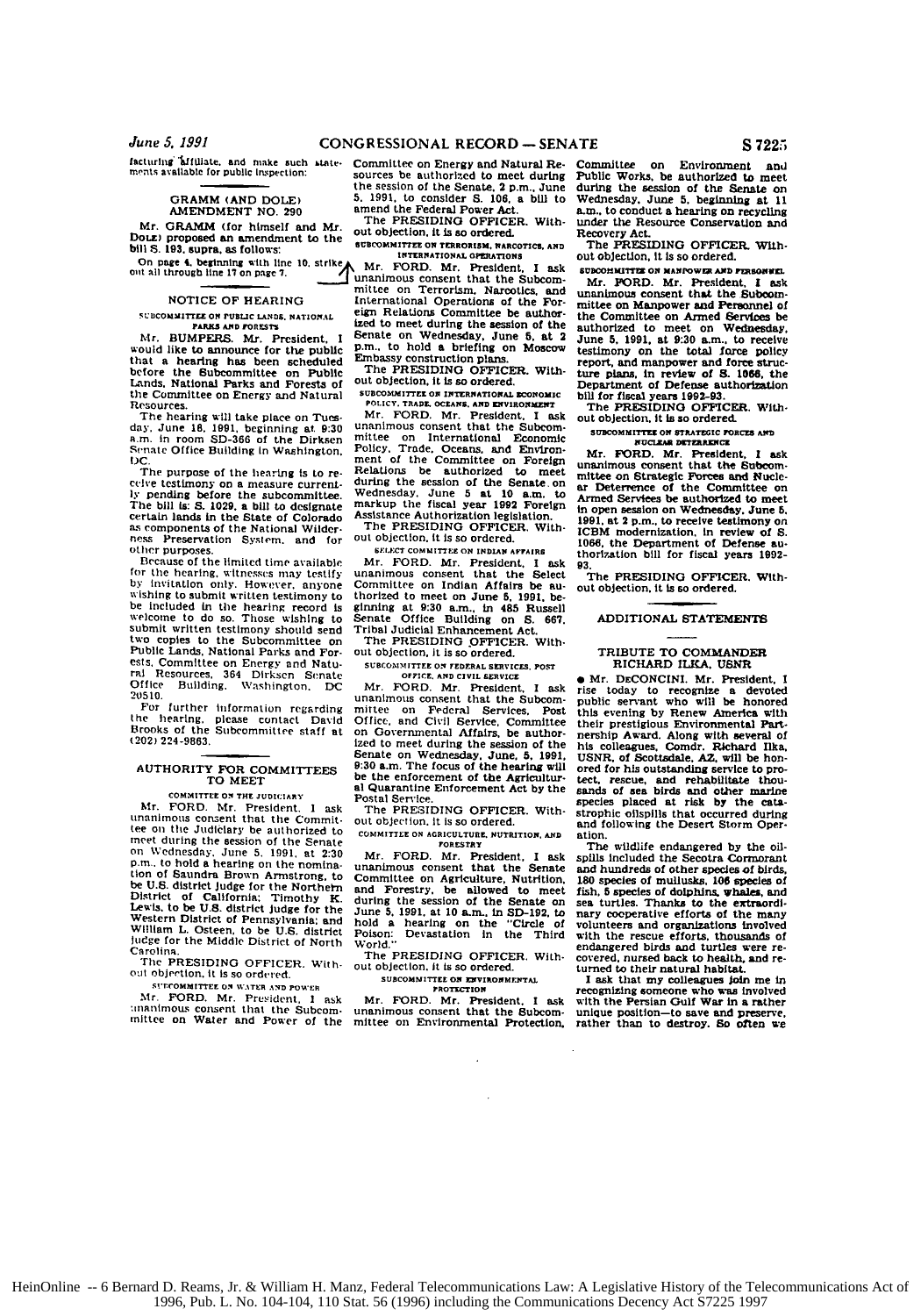Mr. GRAMM (for himself and Mr. The PRESIDING OFFICE<br>not a contract of the second contract of the set of the out objection, it is so ordered. DoLE) proposed an amendment to the **bill S. 193**, supra, as follows:

On page **4. beginning** with line **10. strike** out all through line **17** on page 7.

that a hearing has been scheduled EThe PRESIDING plans.<br>Lands, National Parks and Public The PRESIDING OFFICER. With-<br>Lands, National Parks and Forests of out objection, it is so ordered.<br>Lands, National Parks and Forests

ecritain lands in the State of Colorado<br>assistance Authorization legislation.<br>as components of the National Wilder. The PRESIDING OFFICER. With-<br>ness Preservation System, and for out objection, it is so ordered.<br>other purp

Secause of the limited time available<br>
Fr. FORD. Mr. President, I ask<br>
for the hearing, witherses may testify unanimous consent that the Select<br>
wishing to submit written testimony to thorized to meet on June 5, 1991, be-<br>

ED THE JUDICIARY **POSTAL SETTLE CONSUMER ACT DETAILS AND THE POSTAL SERVICE.**<br>
MIT FORD. MT. President. I ask The PRESIDING OFFICER. With-<br>
Unanimous consent that the Commit- out objection, it is so ordered.<br>
tee on the Ju unallmouss consent that the Commit-<br>out objection, it is so ordered.<br>the on the Judiclary be authorized to constant the construction and<br>meet during the session of the Senate<br>on Wednesday. June 5, 1991, at 2:30 Mr. FORD,

facturing *'alfillate*, and make such *Ltate-* Committee on Energy and Natural Re-<br>ments available for public inspection: sources be authorized to meet during the session of the Senate. 2 p.m.. June GRAMM (AND DOLE) 5. 1991. Lo consider **S. 106, a bill to amend the Federal Power Act.**<br>AMENDMENT NO. 290 **amend the Federal Power Act.**<br>The FRESIDING OFFICER. With-

**bull as follows: 193. <b>CDCOMMITTEE ON TERRORISM**, **NARCOTICS**, AND **INTERNATIONAL OPERATIONS** 

mittee on Terrorism, Narcotics, and<br>
NOTICE OF HEARING<br>
SUBCONSITIEE ON PUBLIC LANDS, NATIONAL<br>
Eign Relations Committee be author-<br>
Eign Relations Committee be author-<br>
Eign Relations Committee be author-**EXERUST PRESERVE ON PUBLIC LANGS. RATIONAL CONSISTS IS A BRACE ON WEDNESDAY, JUNE 5. <b>At 2** WOULd like to announce for the public **p.m.**, to hold a briefing on Moscow that a hearting has been scheduled **Embassy constructi** 

Decourse. The hearing and Natural Material Context map and Natural Context map and Decourse.<br>
The hearing will take place on Tucs. Mr. FORD. Mr. President, I ask<br>
day, June 18, 1991, beginning at 9:30 unanimous consent tha

Senate on Wednesday, June. **5. 1991,**<br>AUTHORITY FOR COMMITTEES **9:30 a.m.** The focus of the hearing will<br>TO MEET **be the enforcement of the Agricultur-**<br>al Quarantine Enforcement Act by the

Mr. FORD. Mr. President, I ask Mr. FORD. Mr. President, I ask inanimous consent that the Subcom- unanimous consent that the Subcom- mittee on Water and Power of the mittee on Environmental Protection.

Committee on Environment and<br>Public Works, be authorized to meet Public Works, be authorized **to** meet during the session of the Senate on Wednesday. June **5.** beginning at **<sup>11</sup>** a.m.. to conduct a hearing on recycling under the Resource Conservation and Recovery Act.

The PRESIDING **OFFICER** Without objection, **It** Is so ordered.

**SescOISMIT ON MANPOWER AND fPRSONNEL** Mr. FORD. Mr. President, **I** ask mittee on Manpower and Personnel of **the Committee on Armed Services be** authorized to meet on Wednesday, June **5, 1991.** at **9:30** a.m.. to receive testimony on the total **force** policy report, and manpower and force struc **ture plans. in review of S. 1066, the** Department of Defense authorzation **bill to fiscal years 1992-93.**<br>
bill for fiscal years 1992-93.<br>
The PRESIDING OFFICER. With-<br>
out objection, it is so ordered.

**SUBeOMMrTEE ON SrRATEsGI** FoRcES **AND**

**SUPERINTED AND DETERRENCE**<br>MIT. FORD. Mr. President, **Mr. FORD. Mr. President, I** ask unanimous consent that the **Subcom.** mittee on Strategic Forces and Nucle-<br>ar Deterrence of the Committee on<br>Armed Servi<del>ces</del> be authorized to meet<br>in open session on Wednesday. June 5. **1991.** at 2 p.m.. to receive testimony on ICBM modernization, **in** review **of S. 1066,** the Department of Defense **au-** thorzation bill for fiscal years **1992- 93.**

The **PRESIDING** OFFICER. Without objection. it is so ordered.

### **ADDITIONAL STATEMENTS**

## TRIBUTE **TO COMMANDER** RICHARD **ILKA. USNR**

\* Mr. **DECONCINI.** Mr. President, **<sup>I</sup>** rise today to recognize **a** devoted public servant who will be honored this evening **by** Renew America with their prestigious Environmental **Par**their prestigious Environmental Part-<br>nership Award. Along with several of<br>his colleagues, Comdr. Richard Ilka, his colleagues. Comdr. Richard Ilka, **USNR,** of Scottsdale, **AZ.** will be honored for his outstanding service to pro-<br>tect, rescue, and rehabilitate thou-<br>sands of sea birds and other marine species placed at risk by the cata-<br>strophic oilspills that occurred during and following the Desert Storm Operation.

The wildlife endangered **by** the oil-spills included the Secotra Cormorant and hundreds of other species of birds. **180** species of mullusks, **106** species of sea turtles. Thanks to the extraordinary cooperative efforts of the many volunteers and organizations involved<br>with the rescue efforts, thousands of<br>endangered birds and turtles were reendangered birds and turned back to health, and re-<br>turned to their natural habitat.

**I** ask that my colleagues join me in recognizing someone who was involved with the Persian Gulf War in a rather **unique** position-to save and preserve, rather than to destroy. So often we

HeinOnline -- 6 Bernard D. Reams, Jr. & William H. Manz, Federal Telecommunications Law: A Legislative History of the Telecommunications Act of 1996, Pub. L. No. 104-104, 110 Stat. 56 (1996) including the Communications Decency Act S7225 1997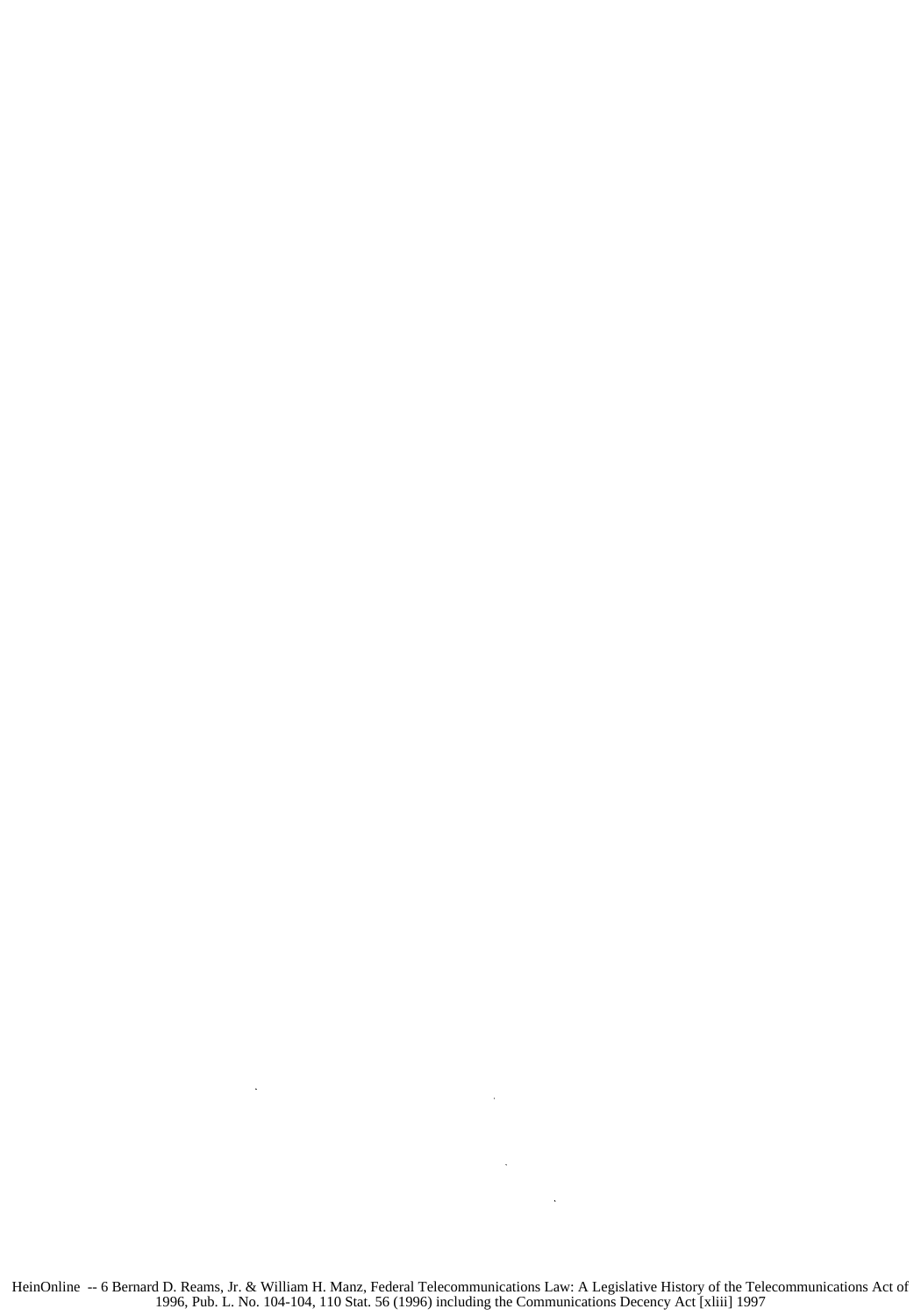HeinOnline -- 6 Bernard D. Reams, Jr. & William H. Manz, Federal Telecommunications Law: A Legislative History of the Telecommunications Act of 1996, Pub. L. No. 104-104, 110 Stat. 56 (1996) including the Communications Decency Act [xliii] 1997

 $\sim 10^{11}$  m  $^{-1}$ 

 $\sim 400$ 

 $\sim 10$ 

 $\sim$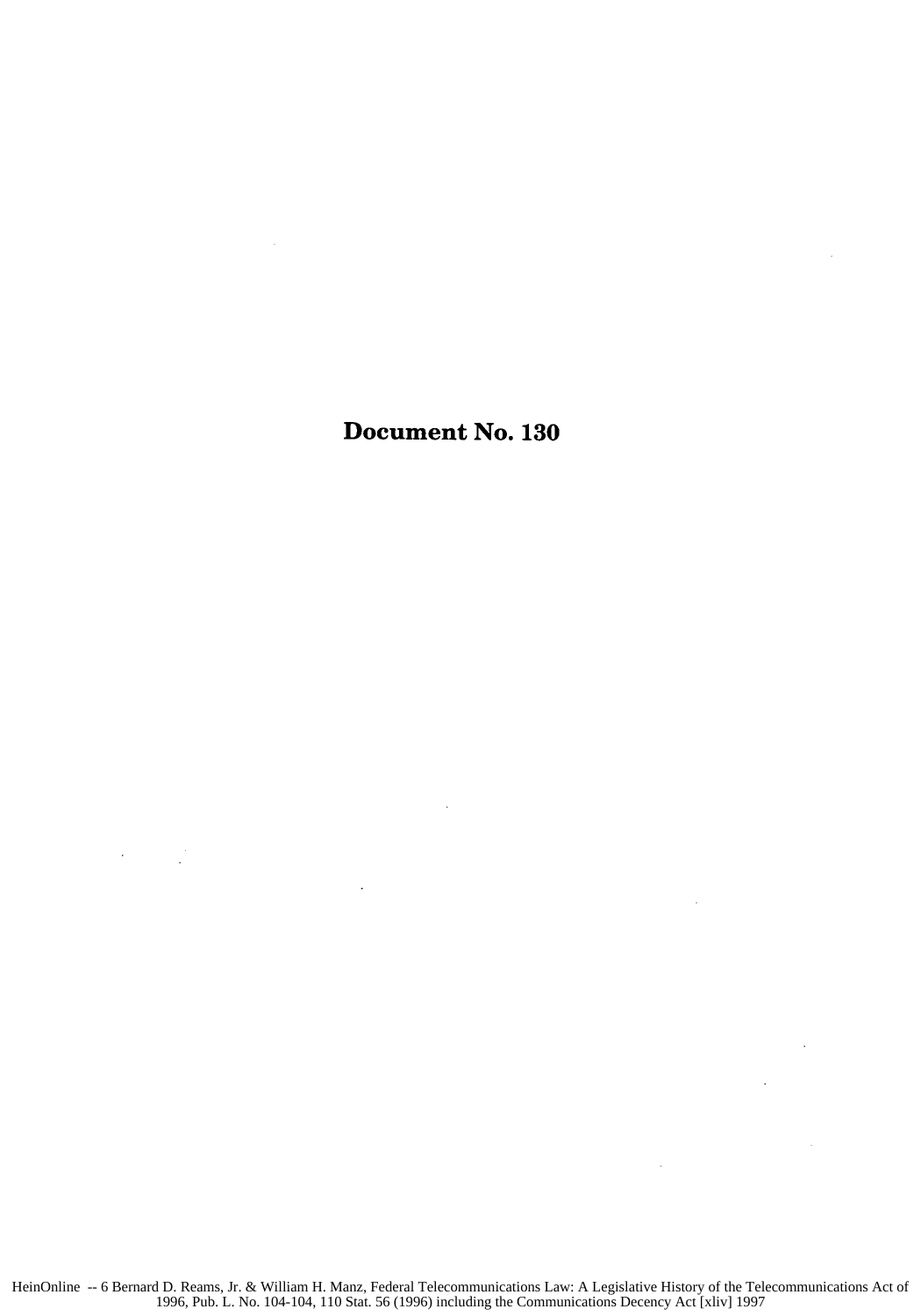Document No. **130**

 $\bullet$ 

 $\mathcal{A}^{\mathcal{A}}$  .

 $\mathcal{L}$ 

 $\bar{z}$